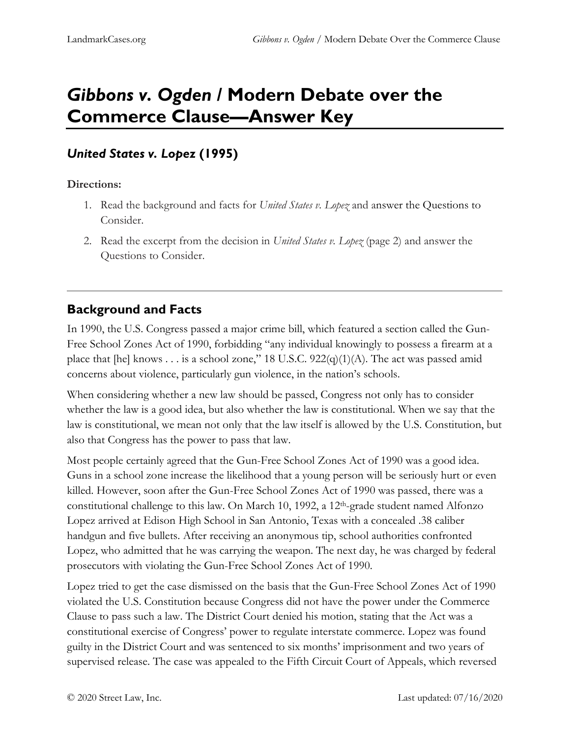# *Gibbons v. Ogden* **/ Modern Debate over the Commerce Clause—Answer Key**

### *United States v. Lopez* **(1995)**

#### **Directions:**

- 1. Read the background and facts for *United States v. Lopez* and answer the Questions to Consider.
- 2. Read the excerpt from the decision in *United States v. Lopez* (page 2) and answer the Questions to Consider.

# **Background and Facts**

In 1990, the U.S. Congress passed a major crime bill, which featured a section called the Gun-Free School Zones Act of 1990, forbidding "any individual knowingly to possess a firearm at a place that [he] knows . . . is a school zone," 18 U.S.C.  $922(q)(1)(A)$ . The act was passed amid concerns about violence, particularly gun violence, in the nation's schools.

When considering whether a new law should be passed, Congress not only has to consider whether the law is a good idea, but also whether the law is constitutional. When we say that the law is constitutional, we mean not only that the law itself is allowed by the U.S. Constitution, but also that Congress has the power to pass that law.

Most people certainly agreed that the Gun-Free School Zones Act of 1990 was a good idea. Guns in a school zone increase the likelihood that a young person will be seriously hurt or even killed. However, soon after the Gun-Free School Zones Act of 1990 was passed, there was a constitutional challenge to this law. On March 10, 1992, a 12th-grade student named Alfonzo Lopez arrived at Edison High School in San Antonio, Texas with a concealed .38 caliber handgun and five bullets. After receiving an anonymous tip, school authorities confronted Lopez, who admitted that he was carrying the weapon. The next day, he was charged by federal prosecutors with violating the Gun-Free School Zones Act of 1990.

Lopez tried to get the case dismissed on the basis that the Gun-Free School Zones Act of 1990 violated the U.S. Constitution because Congress did not have the power under the Commerce Clause to pass such a law. The District Court denied his motion, stating that the Act was a constitutional exercise of Congress' power to regulate interstate commerce. Lopez was found guilty in the District Court and was sentenced to six months' imprisonment and two years of supervised release. The case was appealed to the Fifth Circuit Court of Appeals, which reversed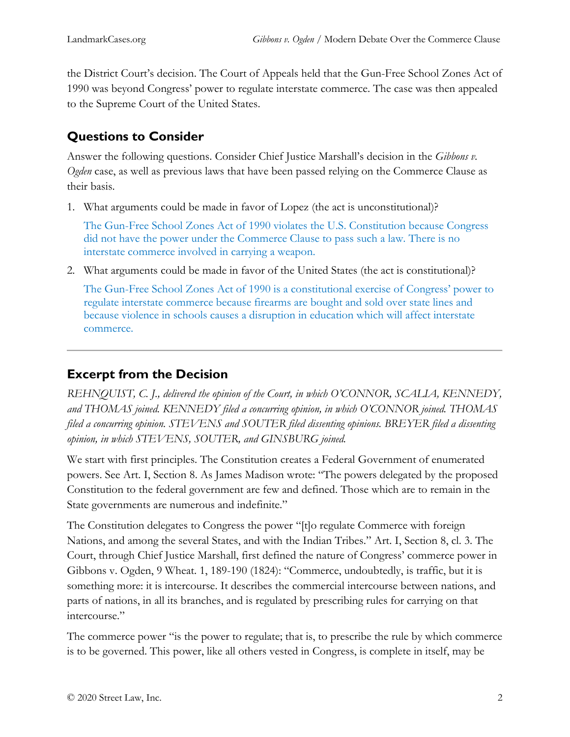the District Court's decision. The Court of Appeals held that the Gun-Free School Zones Act of 1990 was beyond Congress' power to regulate interstate commerce. The case was then appealed to the Supreme Court of the United States.

## **Questions to Consider**

Answer the following questions. Consider Chief Justice Marshall's decision in the *Gibbons v. Ogden* case, as well as previous laws that have been passed relying on the Commerce Clause as their basis.

1. What arguments could be made in favor of Lopez (the act is unconstitutional)?

The Gun-Free School Zones Act of 1990 violates the U.S. Constitution because Congress did not have the power under the Commerce Clause to pass such a law. There is no interstate commerce involved in carrying a weapon.

2. What arguments could be made in favor of the United States (the act is constitutional)?

The Gun-Free School Zones Act of 1990 is a constitutional exercise of Congress' power to regulate interstate commerce because firearms are bought and sold over state lines and because violence in schools causes a disruption in education which will affect interstate commerce.

### **Excerpt from the Decision**

*REHNQUIST, C. J., delivered the opinion of the Court, in which O'CONNOR, SCALIA, KENNEDY, and THOMAS joined. KENNEDY filed a concurring opinion, in which O'CONNOR joined. THOMAS filed a concurring opinion. STEVENS and SOUTER filed dissenting opinions. BREYER filed a dissenting opinion, in which STEVENS, SOUTER, and GINSBURG joined.* 

We start with first principles. The Constitution creates a Federal Government of enumerated powers. See Art. I, Section 8. As James Madison wrote: "The powers delegated by the proposed Constitution to the federal government are few and defined. Those which are to remain in the State governments are numerous and indefinite."

The Constitution delegates to Congress the power "[t]o regulate Commerce with foreign Nations, and among the several States, and with the Indian Tribes." Art. I, Section 8, cl. 3. The Court, through Chief Justice Marshall, first defined the nature of Congress' commerce power in Gibbons v. Ogden, 9 Wheat. 1, 189-190 (1824): "Commerce, undoubtedly, is traffic, but it is something more: it is intercourse. It describes the commercial intercourse between nations, and parts of nations, in all its branches, and is regulated by prescribing rules for carrying on that intercourse."

The commerce power "is the power to regulate; that is, to prescribe the rule by which commerce is to be governed. This power, like all others vested in Congress, is complete in itself, may be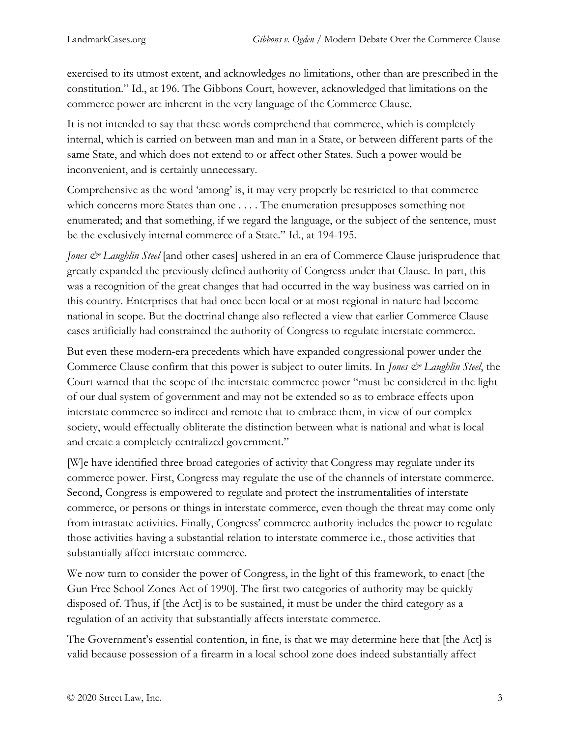exercised to its utmost extent, and acknowledges no limitations, other than are prescribed in the constitution." Id., at 196. The Gibbons Court, however, acknowledged that limitations on the commerce power are inherent in the very language of the Commerce Clause.

It is not intended to say that these words comprehend that commerce, which is completely internal, which is carried on between man and man in a State, or between different parts of the same State, and which does not extend to or affect other States. Such a power would be inconvenient, and is certainly unnecessary.

Comprehensive as the word 'among' is, it may very properly be restricted to that commerce which concerns more States than one . . . . The enumeration presupposes something not enumerated; and that something, if we regard the language, or the subject of the sentence, must be the exclusively internal commerce of a State." Id., at 194-195.

*Jones & Laughlin Steel* [and other cases] ushered in an era of Commerce Clause jurisprudence that greatly expanded the previously defined authority of Congress under that Clause. In part, this was a recognition of the great changes that had occurred in the way business was carried on in this country. Enterprises that had once been local or at most regional in nature had become national in scope. But the doctrinal change also reflected a view that earlier Commerce Clause cases artificially had constrained the authority of Congress to regulate interstate commerce.

But even these modern-era precedents which have expanded congressional power under the Commerce Clause confirm that this power is subject to outer limits. In *Jones & Laughlin Steel*, the Court warned that the scope of the interstate commerce power "must be considered in the light of our dual system of government and may not be extended so as to embrace effects upon interstate commerce so indirect and remote that to embrace them, in view of our complex society, would effectually obliterate the distinction between what is national and what is local and create a completely centralized government."

[W]e have identified three broad categories of activity that Congress may regulate under its commerce power. First, Congress may regulate the use of the channels of interstate commerce. Second, Congress is empowered to regulate and protect the instrumentalities of interstate commerce, or persons or things in interstate commerce, even though the threat may come only from intrastate activities. Finally, Congress' commerce authority includes the power to regulate those activities having a substantial relation to interstate commerce i.e., those activities that substantially affect interstate commerce.

We now turn to consider the power of Congress, in the light of this framework, to enact [the Gun Free School Zones Act of 1990]. The first two categories of authority may be quickly disposed of. Thus, if [the Act] is to be sustained, it must be under the third category as a regulation of an activity that substantially affects interstate commerce.

The Government's essential contention, in fine, is that we may determine here that [the Act] is valid because possession of a firearm in a local school zone does indeed substantially affect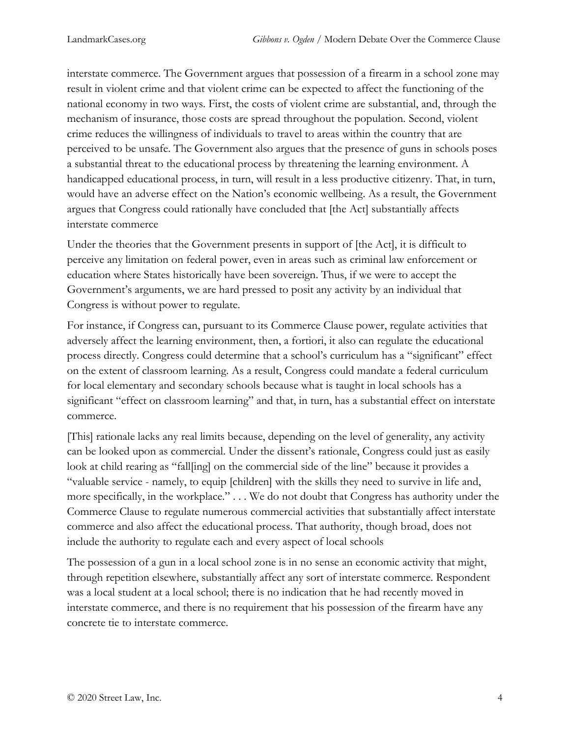interstate commerce. The Government argues that possession of a firearm in a school zone may result in violent crime and that violent crime can be expected to affect the functioning of the national economy in two ways. First, the costs of violent crime are substantial, and, through the mechanism of insurance, those costs are spread throughout the population. Second, violent crime reduces the willingness of individuals to travel to areas within the country that are perceived to be unsafe. The Government also argues that the presence of guns in schools poses a substantial threat to the educational process by threatening the learning environment. A handicapped educational process, in turn, will result in a less productive citizenry. That, in turn, would have an adverse effect on the Nation's economic wellbeing. As a result, the Government argues that Congress could rationally have concluded that [the Act] substantially affects interstate commerce

Under the theories that the Government presents in support of [the Act], it is difficult to perceive any limitation on federal power, even in areas such as criminal law enforcement or education where States historically have been sovereign. Thus, if we were to accept the Government's arguments, we are hard pressed to posit any activity by an individual that Congress is without power to regulate.

For instance, if Congress can, pursuant to its Commerce Clause power, regulate activities that adversely affect the learning environment, then, a fortiori, it also can regulate the educational process directly. Congress could determine that a school's curriculum has a "significant" effect on the extent of classroom learning. As a result, Congress could mandate a federal curriculum for local elementary and secondary schools because what is taught in local schools has a significant "effect on classroom learning" and that, in turn, has a substantial effect on interstate commerce.

[This] rationale lacks any real limits because, depending on the level of generality, any activity can be looked upon as commercial. Under the dissent's rationale, Congress could just as easily look at child rearing as "fall[ing] on the commercial side of the line" because it provides a "valuable service - namely, to equip [children] with the skills they need to survive in life and, more specifically, in the workplace." . . . We do not doubt that Congress has authority under the Commerce Clause to regulate numerous commercial activities that substantially affect interstate commerce and also affect the educational process. That authority, though broad, does not include the authority to regulate each and every aspect of local schools

The possession of a gun in a local school zone is in no sense an economic activity that might, through repetition elsewhere, substantially affect any sort of interstate commerce. Respondent was a local student at a local school; there is no indication that he had recently moved in interstate commerce, and there is no requirement that his possession of the firearm have any concrete tie to interstate commerce.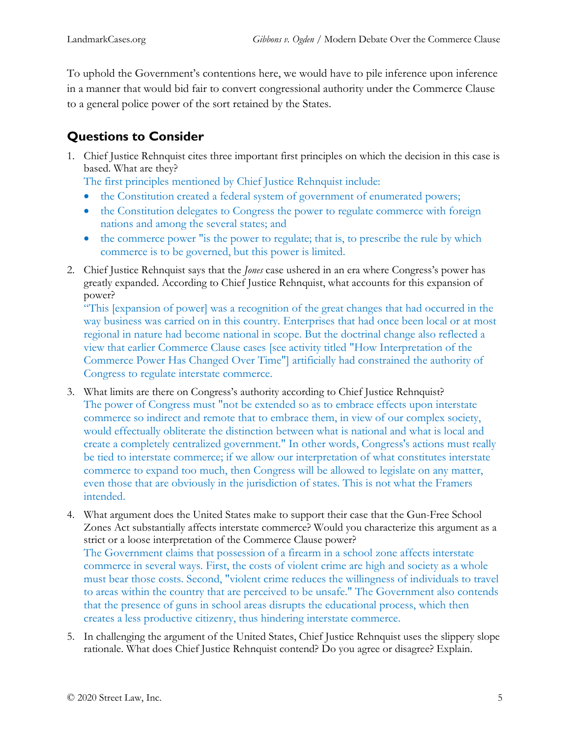To uphold the Government's contentions here, we would have to pile inference upon inference in a manner that would bid fair to convert congressional authority under the Commerce Clause to a general police power of the sort retained by the States.

# **Questions to Consider**

1. Chief Justice Rehnquist cites three important first principles on which the decision in this case is based. What are they?

The first principles mentioned by Chief Justice Rehnquist include:

- the Constitution created a federal system of government of enumerated powers;
- the Constitution delegates to Congress the power to regulate commerce with foreign nations and among the several states; and
- the commerce power "is the power to regulate; that is, to prescribe the rule by which commerce is to be governed, but this power is limited.
- 2. Chief Justice Rehnquist says that the *Jones* case ushered in an era where Congress's power has greatly expanded. According to Chief Justice Rehnquist, what accounts for this expansion of power?

"This [expansion of power] was a recognition of the great changes that had occurred in the way business was carried on in this country. Enterprises that had once been local or at most regional in nature had become national in scope. But the doctrinal change also reflected a view that earlier Commerce Clause cases [see activity titled "How Interpretation of the Commerce Power Has Changed Over Time"] artificially had constrained the authority of Congress to regulate interstate commerce.

- 3. What limits are there on Congress's authority according to Chief Justice Rehnquist? The power of Congress must "not be extended so as to embrace effects upon interstate commerce so indirect and remote that to embrace them, in view of our complex society, would effectually obliterate the distinction between what is national and what is local and create a completely centralized government." In other words, Congress's actions must really be tied to interstate commerce; if we allow our interpretation of what constitutes interstate commerce to expand too much, then Congress will be allowed to legislate on any matter, even those that are obviously in the jurisdiction of states. This is not what the Framers intended.
- 4. What argument does the United States make to support their case that the Gun-Free School Zones Act substantially affects interstate commerce? Would you characterize this argument as a strict or a loose interpretation of the Commerce Clause power? The Government claims that possession of a firearm in a school zone affects interstate commerce in several ways. First, the costs of violent crime are high and society as a whole must bear those costs. Second, "violent crime reduces the willingness of individuals to travel to areas within the country that are perceived to be unsafe." The Government also contends that the presence of guns in school areas disrupts the educational process, which then creates a less productive citizenry, thus hindering interstate commerce.
- 5. In challenging the argument of the United States, Chief Justice Rehnquist uses the slippery slope rationale. What does Chief Justice Rehnquist contend? Do you agree or disagree? Explain.